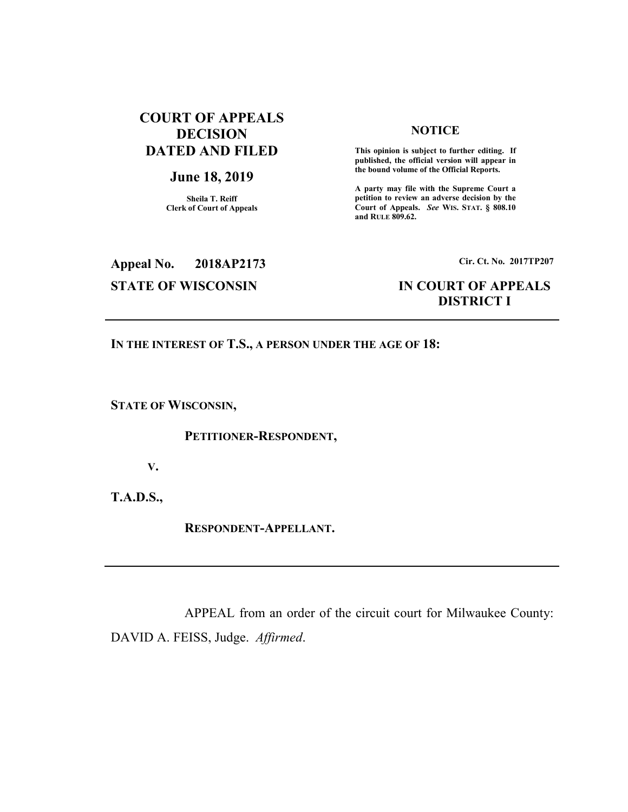## **COURT OF APPEALS DECISION DATED AND FILED**

## **June 18, 2019**

**Sheila T. Reiff Clerk of Court of Appeals** 

### **NOTICE**

 **This opinion is subject to further editing. If published, the official version will appear in the bound volume of the Official Reports.** 

**A party may file with the Supreme Court a petition to review an adverse decision by the Court of Appeals.** *See* **WIS. STAT. § 808.10 and RULE 809.62.** 

# **Appeal No. 2018AP2173 Cir. Ct. No. 2017TP207**

## **STATE OF WISCONSIN IN COURT OF APPEALS DISTRICT I**

## **IN THE INTEREST OF T.S., A PERSON UNDER THE AGE OF 18:**

**STATE OF WISCONSIN,** 

## **PETITIONER-RESPONDENT,**

**V.** 

**T.A.D.S.,** 

 **RESPONDENT-APPELLANT.** 

 APPEAL from an order of the circuit court for Milwaukee County: DAVID A. FEISS, Judge. *Affirmed*.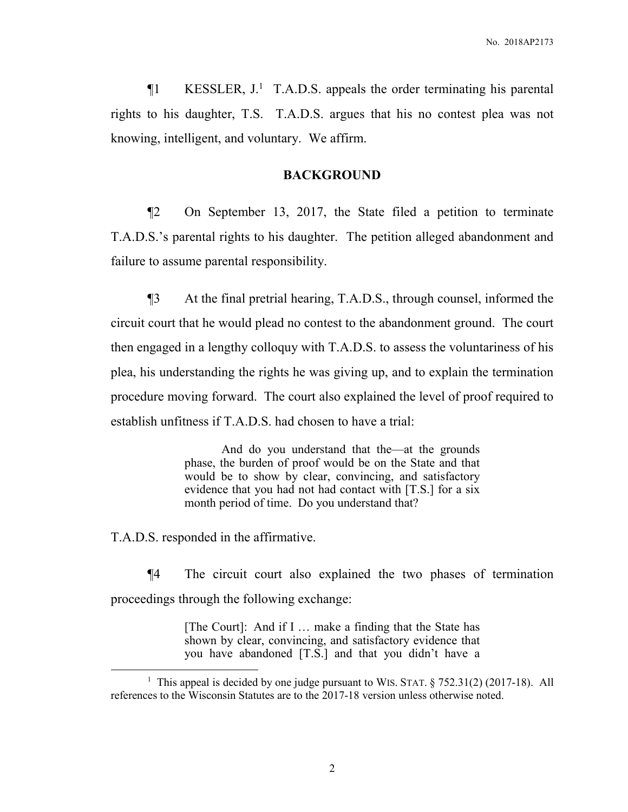¶1 KESSLER, J.<sup>1</sup> T.A.D.S. appeals the order terminating his parental rights to his daughter, T.S. T.A.D.S. argues that his no contest plea was not knowing, intelligent, and voluntary. We affirm.

## **BACKGROUND**

¶2 On September 13, 2017, the State filed a petition to terminate T.A.D.S.'s parental rights to his daughter. The petition alleged abandonment and failure to assume parental responsibility.

¶3 At the final pretrial hearing, T.A.D.S., through counsel, informed the circuit court that he would plead no contest to the abandonment ground. The court then engaged in a lengthy colloquy with T.A.D.S. to assess the voluntariness of his plea, his understanding the rights he was giving up, and to explain the termination procedure moving forward. The court also explained the level of proof required to establish unfitness if T.A.D.S. had chosen to have a trial:

> And do you understand that the—at the grounds phase, the burden of proof would be on the State and that would be to show by clear, convincing, and satisfactory evidence that you had not had contact with [T.S.] for a six month period of time. Do you understand that?

T.A.D.S. responded in the affirmative.

 $\overline{a}$ 

¶4 The circuit court also explained the two phases of termination proceedings through the following exchange:

> [The Court]: And if I … make a finding that the State has shown by clear, convincing, and satisfactory evidence that you have abandoned [T.S.] and that you didn't have a

<sup>&</sup>lt;sup>1</sup> This appeal is decided by one judge pursuant to WIS. STAT. § 752.31(2) (2017-18). All references to the Wisconsin Statutes are to the 2017-18 version unless otherwise noted.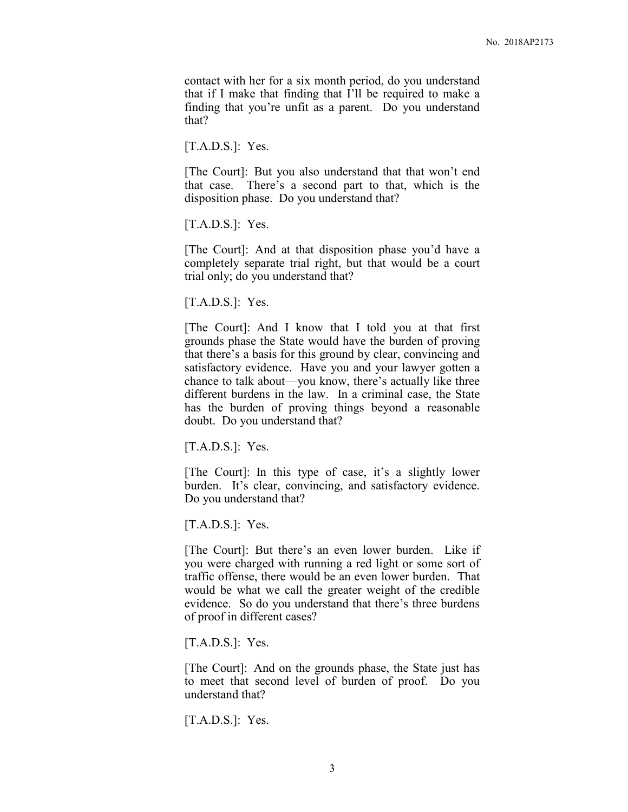contact with her for a six month period, do you understand that if I make that finding that I'll be required to make a finding that you're unfit as a parent. Do you understand that?

 $[T.A.D.S.]:$  Yes.

[The Court]: But you also understand that that won't end that case. There's a second part to that, which is the disposition phase. Do you understand that?

 $[T.A.D.S.]:$  Yes.

[The Court]: And at that disposition phase you'd have a completely separate trial right, but that would be a court trial only; do you understand that?

 $[T.A.D.S.]:$  Yes.

[The Court]: And I know that I told you at that first grounds phase the State would have the burden of proving that there's a basis for this ground by clear, convincing and satisfactory evidence. Have you and your lawyer gotten a chance to talk about—you know, there's actually like three different burdens in the law. In a criminal case, the State has the burden of proving things beyond a reasonable doubt. Do you understand that?

 $[T.A.D.S.]:$  Yes.

[The Court]: In this type of case, it's a slightly lower burden. It's clear, convincing, and satisfactory evidence. Do you understand that?

 $[T.A.D.S.]:$  Yes.

[The Court]: But there's an even lower burden. Like if you were charged with running a red light or some sort of traffic offense, there would be an even lower burden. That would be what we call the greater weight of the credible evidence. So do you understand that there's three burdens of proof in different cases?

 $[T.A.D.S.]:$  Yes.

[The Court]: And on the grounds phase, the State just has to meet that second level of burden of proof. Do you understand that?

 $[T.A.D.S.]:$  Yes.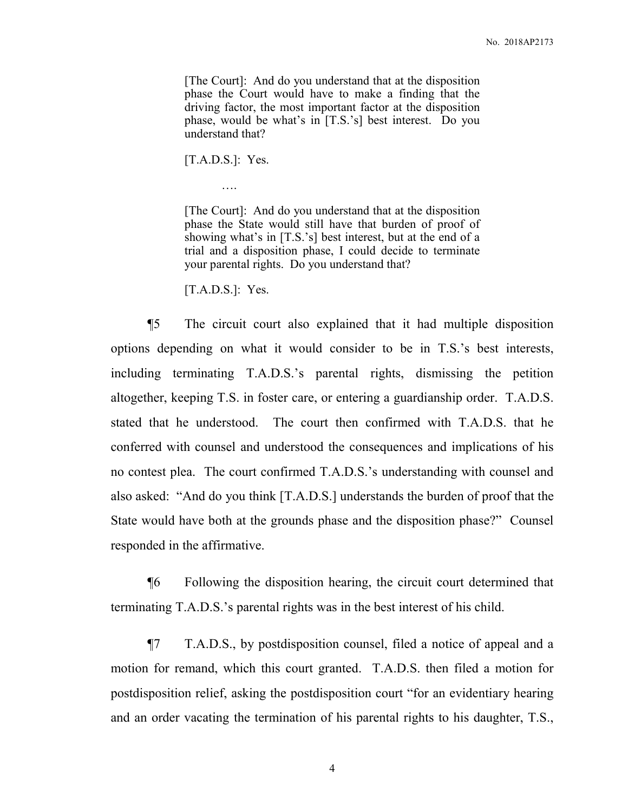[The Court]: And do you understand that at the disposition phase the Court would have to make a finding that the driving factor, the most important factor at the disposition phase, would be what's in [T.S.'s] best interest. Do you understand that?

 $[T.A.D.S.]:$  Yes.

….

[The Court]: And do you understand that at the disposition phase the State would still have that burden of proof of showing what's in [T.S.'s] best interest, but at the end of a trial and a disposition phase, I could decide to terminate your parental rights. Do you understand that?

 $[T.A.D.S.]:$  Yes.

¶5 The circuit court also explained that it had multiple disposition options depending on what it would consider to be in T.S.'s best interests, including terminating T.A.D.S.'s parental rights, dismissing the petition altogether, keeping T.S. in foster care, or entering a guardianship order. T.A.D.S. stated that he understood. The court then confirmed with T.A.D.S. that he conferred with counsel and understood the consequences and implications of his no contest plea. The court confirmed T.A.D.S.'s understanding with counsel and also asked: "And do you think [T.A.D.S.] understands the burden of proof that the State would have both at the grounds phase and the disposition phase?" Counsel responded in the affirmative.

¶6 Following the disposition hearing, the circuit court determined that terminating T.A.D.S.'s parental rights was in the best interest of his child.

¶7 T.A.D.S., by postdisposition counsel, filed a notice of appeal and a motion for remand, which this court granted. T.A.D.S. then filed a motion for postdisposition relief, asking the postdisposition court "for an evidentiary hearing and an order vacating the termination of his parental rights to his daughter, T.S.,

4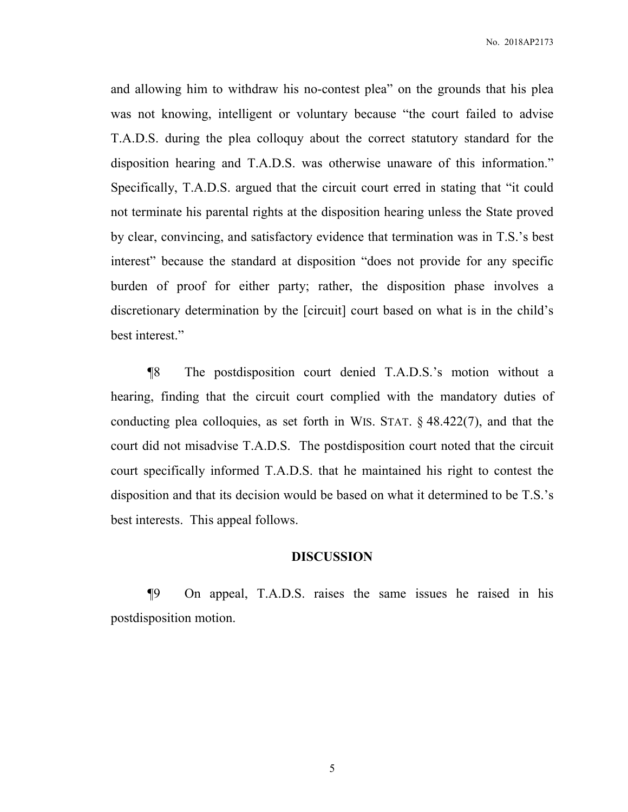and allowing him to withdraw his no-contest plea" on the grounds that his plea was not knowing, intelligent or voluntary because "the court failed to advise T.A.D.S. during the plea colloquy about the correct statutory standard for the disposition hearing and T.A.D.S. was otherwise unaware of this information." Specifically, T.A.D.S. argued that the circuit court erred in stating that "it could not terminate his parental rights at the disposition hearing unless the State proved by clear, convincing, and satisfactory evidence that termination was in T.S.'s best interest" because the standard at disposition "does not provide for any specific burden of proof for either party; rather, the disposition phase involves a discretionary determination by the [circuit] court based on what is in the child's best interest."

¶8 The postdisposition court denied T.A.D.S.'s motion without a hearing, finding that the circuit court complied with the mandatory duties of conducting plea colloquies, as set forth in WIS. STAT. § 48.422(7), and that the court did not misadvise T.A.D.S. The postdisposition court noted that the circuit court specifically informed T.A.D.S. that he maintained his right to contest the disposition and that its decision would be based on what it determined to be T.S.'s best interests. This appeal follows.

### **DISCUSSION**

¶9 On appeal, T.A.D.S. raises the same issues he raised in his postdisposition motion.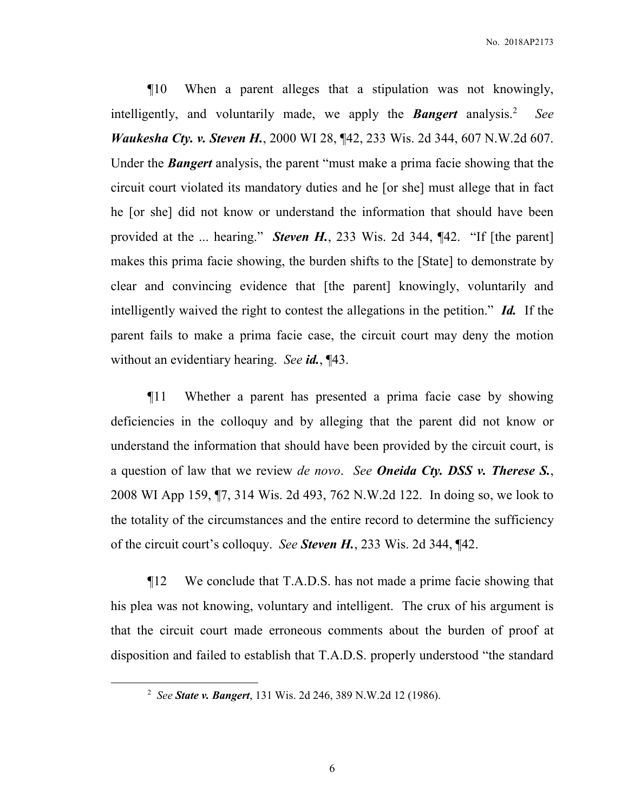¶10 When a parent alleges that a stipulation was not knowingly, intelligently, and voluntarily made, we apply the *Bangert* analysis.<sup>2</sup> *See Waukesha Cty. v. Steven H.*, 2000 WI 28, ¶42, 233 Wis. 2d 344, 607 N.W.2d 607. Under the *Bangert* analysis, the parent "must make a prima facie showing that the circuit court violated its mandatory duties and he [or she] must allege that in fact he [or she] did not know or understand the information that should have been provided at the ... hearing." *Steven H.*, 233 Wis. 2d 344, ¶42. "If [the parent] makes this prima facie showing, the burden shifts to the [State] to demonstrate by clear and convincing evidence that [the parent] knowingly, voluntarily and intelligently waived the right to contest the allegations in the petition." *Id.* If the parent fails to make a prima facie case, the circuit court may deny the motion without an evidentiary hearing. *See id.*, ¶43.

¶11 Whether a parent has presented a prima facie case by showing deficiencies in the colloquy and by alleging that the parent did not know or understand the information that should have been provided by the circuit court, is a question of law that we review *de novo*. *See Oneida Cty. DSS v. Therese S.*, 2008 WI App 159, ¶7, 314 Wis. 2d 493, 762 N.W.2d 122. In doing so, we look to the totality of the circumstances and the entire record to determine the sufficiency of the circuit court's colloquy. *See Steven H.*, 233 Wis. 2d 344, ¶42.

¶12 We conclude that T.A.D.S. has not made a prime facie showing that his plea was not knowing, voluntary and intelligent. The crux of his argument is that the circuit court made erroneous comments about the burden of proof at disposition and failed to establish that T.A.D.S. properly understood "the standard

 $\overline{a}$ 

<sup>2</sup> *See State v. Bangert*, 131 Wis. 2d 246, 389 N.W.2d 12 (1986).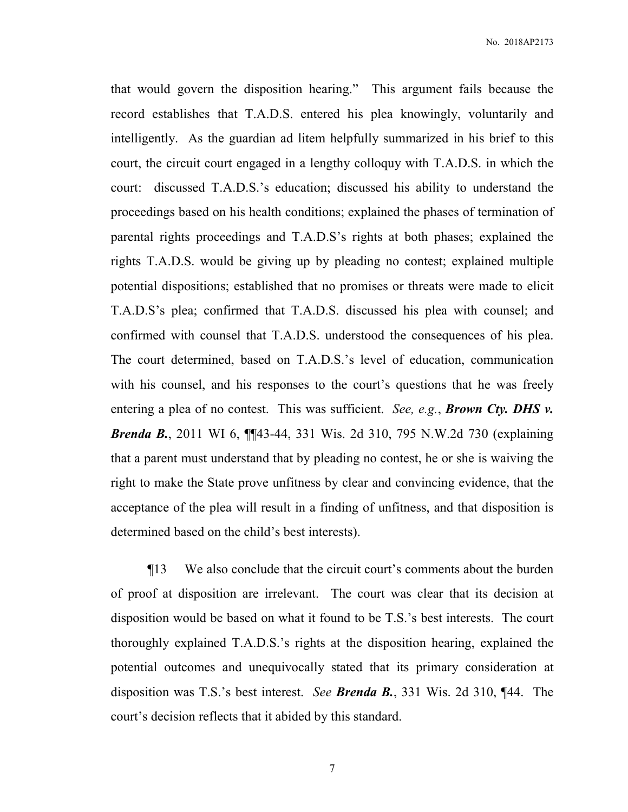that would govern the disposition hearing." This argument fails because the record establishes that T.A.D.S. entered his plea knowingly, voluntarily and intelligently. As the guardian ad litem helpfully summarized in his brief to this court, the circuit court engaged in a lengthy colloquy with T.A.D.S. in which the court: discussed T.A.D.S.'s education; discussed his ability to understand the proceedings based on his health conditions; explained the phases of termination of parental rights proceedings and T.A.D.S's rights at both phases; explained the rights T.A.D.S. would be giving up by pleading no contest; explained multiple potential dispositions; established that no promises or threats were made to elicit T.A.D.S's plea; confirmed that T.A.D.S. discussed his plea with counsel; and confirmed with counsel that T.A.D.S. understood the consequences of his plea. The court determined, based on T.A.D.S.'s level of education, communication with his counsel, and his responses to the court's questions that he was freely entering a plea of no contest. This was sufficient. *See, e.g.*, *Brown Cty. DHS v. Brenda B.*, 2011 WI 6, ¶¶43-44, 331 Wis. 2d 310, 795 N.W.2d 730 (explaining that a parent must understand that by pleading no contest, he or she is waiving the right to make the State prove unfitness by clear and convincing evidence, that the acceptance of the plea will result in a finding of unfitness, and that disposition is determined based on the child's best interests).

¶13 We also conclude that the circuit court's comments about the burden of proof at disposition are irrelevant. The court was clear that its decision at disposition would be based on what it found to be T.S.'s best interests. The court thoroughly explained T.A.D.S.'s rights at the disposition hearing, explained the potential outcomes and unequivocally stated that its primary consideration at disposition was T.S.'s best interest. *See Brenda B.*, 331 Wis. 2d 310, ¶44. The court's decision reflects that it abided by this standard.